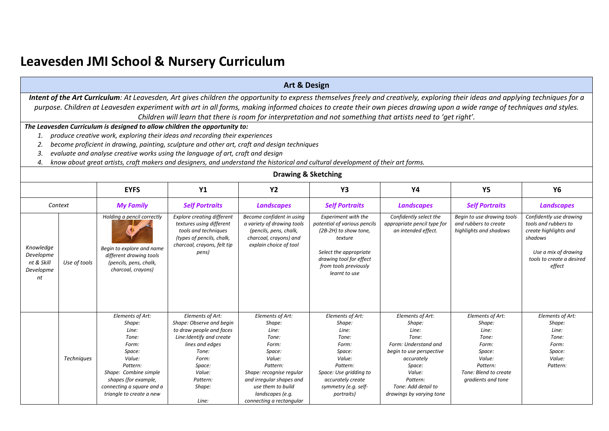## **Leavesden JMI School & Nursery Curriculum**

|                                                         |                                                                                                                                                                                                                                                                                                                                                                                                                                                                                   |                                                                                                                                                                                                 |                                                                                                                                                                                               | <b>Art &amp; Design</b>                                                                                                                                                                                            |                                                                                                                                                                                               |                                                                                                                                                                                                   |                                                                                                                                      |                                                                                                                                                    |  |  |
|---------------------------------------------------------|-----------------------------------------------------------------------------------------------------------------------------------------------------------------------------------------------------------------------------------------------------------------------------------------------------------------------------------------------------------------------------------------------------------------------------------------------------------------------------------|-------------------------------------------------------------------------------------------------------------------------------------------------------------------------------------------------|-----------------------------------------------------------------------------------------------------------------------------------------------------------------------------------------------|--------------------------------------------------------------------------------------------------------------------------------------------------------------------------------------------------------------------|-----------------------------------------------------------------------------------------------------------------------------------------------------------------------------------------------|---------------------------------------------------------------------------------------------------------------------------------------------------------------------------------------------------|--------------------------------------------------------------------------------------------------------------------------------------|----------------------------------------------------------------------------------------------------------------------------------------------------|--|--|
|                                                         | Intent of the Art Curriculum: At Leavesden, Art gives children the opportunity to express themselves freely and creatively, exploring their ideas and applying techniques for a<br>purpose. Children at Leavesden experiment with art in all forms, making informed choices to create their own pieces drawing upon a wide range of techniques and styles.<br>Children will learn that there is room for interpretation and not something that artists need to 'get right'.       |                                                                                                                                                                                                 |                                                                                                                                                                                               |                                                                                                                                                                                                                    |                                                                                                                                                                                               |                                                                                                                                                                                                   |                                                                                                                                      |                                                                                                                                                    |  |  |
| 1.<br>2.<br>3.<br>4.                                    | The Leavesden Curriculum is designed to allow children the opportunity to:<br>produce creative work, exploring their ideas and recording their experiences<br>become proficient in drawing, painting, sculpture and other art, craft and design techniques<br>evaluate and analyse creative works using the language of art, craft and design<br>know about great artists, craft makers and designers, and understand the historical and cultural development of their art forms. |                                                                                                                                                                                                 |                                                                                                                                                                                               |                                                                                                                                                                                                                    |                                                                                                                                                                                               |                                                                                                                                                                                                   |                                                                                                                                      |                                                                                                                                                    |  |  |
|                                                         |                                                                                                                                                                                                                                                                                                                                                                                                                                                                                   |                                                                                                                                                                                                 |                                                                                                                                                                                               | <b>Drawing &amp; Sketching</b>                                                                                                                                                                                     |                                                                                                                                                                                               |                                                                                                                                                                                                   |                                                                                                                                      |                                                                                                                                                    |  |  |
|                                                         |                                                                                                                                                                                                                                                                                                                                                                                                                                                                                   | <b>EYFS</b>                                                                                                                                                                                     | Y1                                                                                                                                                                                            | <b>Y2</b>                                                                                                                                                                                                          | Y3                                                                                                                                                                                            | <b>Y4</b>                                                                                                                                                                                         | <b>Y5</b>                                                                                                                            | <b>Y6</b>                                                                                                                                          |  |  |
|                                                         | Context                                                                                                                                                                                                                                                                                                                                                                                                                                                                           | <b>My Family</b>                                                                                                                                                                                | <b>Self Portraits</b>                                                                                                                                                                         | <b>Landscapes</b>                                                                                                                                                                                                  | <b>Self Portraits</b>                                                                                                                                                                         | <b>Landscapes</b>                                                                                                                                                                                 | <b>Self Portraits</b>                                                                                                                | <b>Landscapes</b>                                                                                                                                  |  |  |
| Knowledge<br>Developme<br>nt & Skill<br>Developme<br>nt | Use of tools                                                                                                                                                                                                                                                                                                                                                                                                                                                                      | Holding a pencil correctly<br>Begin to explore and name<br>different drawing tools<br>(pencils, pens, chalk,<br>charcoal, crayons)                                                              | <b>Explore creating different</b><br>textures using different<br>tools and techniques<br>(types of pencils, chalk,<br>charcoal, crayons, felt tip<br>pens)                                    | Become confident in using<br>a variety of drawing tools<br>(pencils, pens, chalk,<br>charcoal, crayons) and<br>explain choice of tool                                                                              | <b>Experiment with the</b><br>potential of various pencils<br>(2B-2H) to show tone,<br>texture<br>Select the appropriate<br>drawing tool for effect<br>from tools previously<br>learnt to use | Confidently select the<br>appropriate pencil type for<br>an intended effect.                                                                                                                      | Begin to use drawing tools<br>and rubbers to create<br>highlights and shadows                                                        | Confidently use drawing<br>tools and rubbers to<br>create highlights and<br>shadows<br>Use a mix of drawing<br>tools to create a desired<br>effect |  |  |
|                                                         | Techniques                                                                                                                                                                                                                                                                                                                                                                                                                                                                        | Elements of Art:<br>Shape:<br>Line:<br>Tone:<br>Form:<br>Space:<br>Value:<br>Pattern:<br>Shape: Combine simple<br>shapes (for example,<br>connecting a square and a<br>triangle to create a new | Elements of Art:<br>Shape: Observe and begin<br>to draw people and faces<br>Line: Identify and create<br>lines and edges<br>Tone:<br>Form:<br>Space:<br>Value:<br>Pattern:<br>Shape:<br>Line: | Elements of Art:<br>Shape:<br>Line:<br>Tone:<br>Form:<br>Space:<br>Value:<br>Pattern:<br>Shape: recognise regular<br>and irregular shapes and<br>use them to build<br>landscapes (e.g.<br>connecting a rectangular | Elements of Art:<br>Shape:<br>Line:<br>Tone:<br>Form:<br>Space:<br>Value:<br>Pattern:<br>Space: Use gridding to<br>accurately create<br>symmetry (e.g. self-<br>portraits)                    | Elements of Art:<br>Shape:<br>Line:<br>Tone:<br>Form: Understand and<br>begin to use perspective<br>accurately<br>Space:<br>Value:<br>Pattern:<br>Tone: Add detail to<br>drawings by varying tone | Elements of Art:<br>Shape:<br>Line:<br>Tone:<br>Form:<br>Space:<br>Value:<br>Pattern:<br>Tone: Blend to create<br>gradients and tone | Elements of Art:<br>Shape:<br>Line:<br>Tone:<br>Form:<br>Space:<br>Value:<br>Pattern:                                                              |  |  |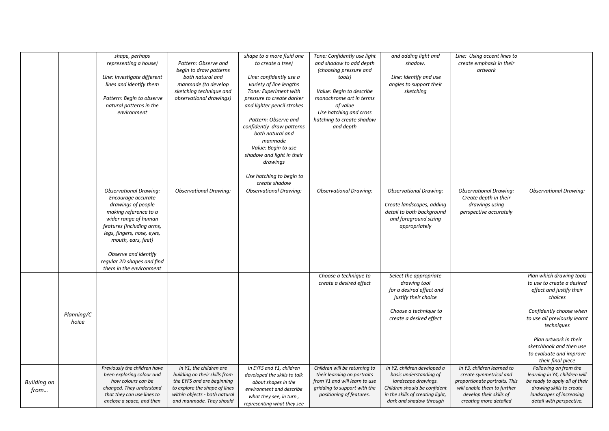|                            |                     | shape, perhaps<br>representing a house)<br>Line: Investigate different<br>lines and identify them<br>Pattern: Begin to observe<br>natural patterns in the<br>environment                                                                                          | Pattern: Observe and<br>begin to draw patterns<br>both natural and<br>manmade (to develop<br>sketching technique and<br>observational drawings)                                      | shape to a more fluid one<br>to create a tree)<br>Line: confidently use a<br>variety of line lengths<br>Tone: Experiment with<br>pressure to create darker<br>and lighter pencil strokes<br>Pattern: Observe and<br>confidently draw patterns<br>both natural and<br>manmade<br>Value: Begin to use<br>shadow and light in their<br>drawings<br>Use hatching to begin to | Tone: Confidently use light<br>and shadow to add depth<br>(choosing pressure and<br>tools)<br>Value: Begin to describe<br>monochrome art in terms<br>of value<br>Use hatching and cross<br>hatching to create shadow<br>and depth | and adding light and<br>shadow.<br>Line: Identify and use<br>angles to support their<br>sketching                                                                           | Line: Using accent lines to<br>create emphasis in their<br>artwork                                                                                                        |                                                                                                                                                                                                                                                                            |
|----------------------------|---------------------|-------------------------------------------------------------------------------------------------------------------------------------------------------------------------------------------------------------------------------------------------------------------|--------------------------------------------------------------------------------------------------------------------------------------------------------------------------------------|--------------------------------------------------------------------------------------------------------------------------------------------------------------------------------------------------------------------------------------------------------------------------------------------------------------------------------------------------------------------------|-----------------------------------------------------------------------------------------------------------------------------------------------------------------------------------------------------------------------------------|-----------------------------------------------------------------------------------------------------------------------------------------------------------------------------|---------------------------------------------------------------------------------------------------------------------------------------------------------------------------|----------------------------------------------------------------------------------------------------------------------------------------------------------------------------------------------------------------------------------------------------------------------------|
|                            |                     | <b>Observational Drawing:</b><br>Encourage accurate<br>drawings of people<br>making reference to a<br>wider range of human<br>features (including arms,<br>legs, fingers, nose, eyes,<br>mouth, ears, feet)<br>Observe and identify<br>regular 2D shapes and find | <b>Observational Drawing:</b>                                                                                                                                                        | create shadow<br><b>Observational Drawing:</b>                                                                                                                                                                                                                                                                                                                           | <b>Observational Drawing:</b>                                                                                                                                                                                                     | <b>Observational Drawing:</b><br>Create landscapes, adding<br>detail to both background<br>and foreground sizing<br>appropriately                                           | <b>Observational Drawing:</b><br>Create depth in their<br>drawings using<br>perspective accurately                                                                        | <b>Observational Drawing:</b>                                                                                                                                                                                                                                              |
|                            | Planning/C<br>hoice | them in the environment                                                                                                                                                                                                                                           |                                                                                                                                                                                      |                                                                                                                                                                                                                                                                                                                                                                          | Choose a technique to<br>create a desired effect                                                                                                                                                                                  | Select the appropriate<br>drawing tool<br>for a desired effect and<br>justify their choice<br>Choose a technique to<br>create a desired effect                              |                                                                                                                                                                           | Plan which drawing tools<br>to use to create a desired<br>effect and justify their<br>choices<br>Confidently choose when<br>to use all previously learnt<br>techniques<br>Plan artwork in their<br>sketchbook and then use<br>to evaluate and improve<br>their final piece |
| <b>Building on</b><br>from |                     | Previously the children have<br>been exploring colour and<br>how colours can be<br>changed. They understand<br>that they can use lines to<br>enclose a space, and then                                                                                            | In Y1, the children are<br>building on their skills from<br>the EYFS and are beginning<br>to explore the shape of lines<br>within objects - both natural<br>and manmade. They should | In EYFS and Y1, children<br>developed the skills to talk<br>about shapes in the<br>environment and describe<br>what they see, in turn,<br>representing what they see                                                                                                                                                                                                     | Children will be returning to<br>their learning on portraits<br>from Y1 and will learn to use<br>gridding to support with the<br>positioning of features.                                                                         | In Y2, children developed a<br>basic understanding of<br>landscape drawings.<br>Children should be confident<br>in the skills of creating light,<br>dark and shadow through | In Y3, children learned to<br>create symmetrical and<br>proportionate portraits. This<br>will enable them to further<br>develop their skills of<br>creating more detailed | Following on from the<br>learning in Y4, children will<br>be ready to apply all of their<br>drawing skills to create<br>landscapes of increasing<br>detail with perspective.                                                                                               |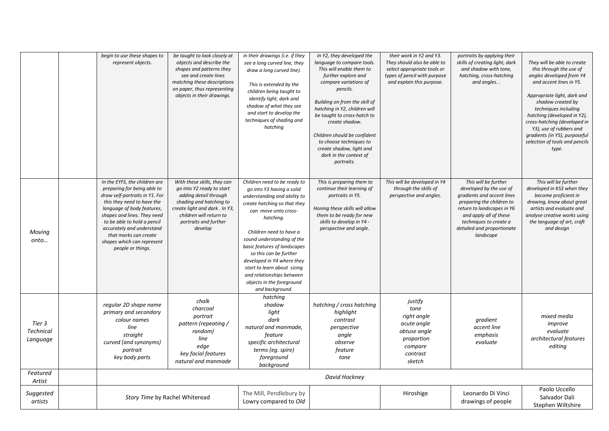|                                        | begin to use these shapes to<br>represent objects.                                                                                                                                                                                                                                                                                | be taught to look closely at<br>objects and describe the<br>shapes and patterns they<br>see and create lines<br>matching these descriptions<br>on paper, thus representing<br>objects in their drawings.      | in their drawings (i.e. if they<br>see a long curved line, they<br>draw a long curved line).<br>This is extended by the<br>children being taught to<br>identify light, dark and<br>shadow of what they see<br>and start to develop the<br>techniques of shading and<br>hatching                                                                                                                                             | In Y2, they developed the<br>language to compare tools.<br>This will enable them to<br>further explore and<br>compare variations of<br>pencils.<br>Building on from the skill of<br>hatching in Y2, children will<br>be taught to cross-hatch to<br>create shadow.<br>Children should be confident<br>to choose techniques to<br>create shadow, light and<br>dark in the context of<br>portraits. | their work in Y2 and Y3.<br>They should also be able to<br>select appropriate tools or<br>types of pencil with purpose<br>and explain this purpose. | portraits by applying their<br>skills of creating light, dark<br>and shadow with tone,<br>hatching, cross-hatching<br>and angles                                                                                                        | They will be able to create<br>this through the use of<br>angles developed from Y4<br>and accent lines in Y5.<br>Appropriate light, dark and<br>shadow created by<br>techniques including<br>hatching (developed in Y2),<br>cross-hatching (developed in<br>Y3), use of rubbers and<br>gradients (in Y5), purposeful<br>selection of tools and pencils<br>type. |
|----------------------------------------|-----------------------------------------------------------------------------------------------------------------------------------------------------------------------------------------------------------------------------------------------------------------------------------------------------------------------------------|---------------------------------------------------------------------------------------------------------------------------------------------------------------------------------------------------------------|-----------------------------------------------------------------------------------------------------------------------------------------------------------------------------------------------------------------------------------------------------------------------------------------------------------------------------------------------------------------------------------------------------------------------------|---------------------------------------------------------------------------------------------------------------------------------------------------------------------------------------------------------------------------------------------------------------------------------------------------------------------------------------------------------------------------------------------------|-----------------------------------------------------------------------------------------------------------------------------------------------------|-----------------------------------------------------------------------------------------------------------------------------------------------------------------------------------------------------------------------------------------|-----------------------------------------------------------------------------------------------------------------------------------------------------------------------------------------------------------------------------------------------------------------------------------------------------------------------------------------------------------------|
| Moving<br>onto                         | In the EYFS, the children are<br>preparing for being able to<br>draw self-portraits in Y1. For<br>this they need to have the<br>language of body features,<br>shapes and lines. They need<br>to be able to hold a pencil<br>accurately and understand<br>that marks can create<br>shapes which can represent<br>people or things. | With these skills, they can<br>go into Y2 ready to start<br>adding detail through<br>shading and hatching to<br>create light and dark . In Y3,<br>children will return to<br>portraits and further<br>develop | Children need to be ready to<br>go into Y3 having a solid<br>understanding and ability to<br>create hatching so that they<br>can move onto cross-<br>hatching.<br>Children need to have a<br>sound understanding of the<br>basic features of landscapes<br>so this can be further<br>developed in Y4 where they<br>start to learn about sizing<br>and relationships between<br>objects in the foreground<br>and background. | This is preparing them to<br>continue their learning of<br>portraits in Y5.<br>Honing these skills will allow<br>them to be ready for new<br>skills to develop in Y4 -<br>perspective and angle.                                                                                                                                                                                                  | This will be developed in Y4<br>through the skills of<br>perspective and angles.                                                                    | This will be further<br>developed by the use of<br>gradients and accent lines<br>preparing the children to<br>return to landscapes in Y6<br>and apply all of these<br>techniques to create a<br>detailed and proportionate<br>landscape | This will be further<br>developed in KS3 when they<br>become proficient in<br>drawing, know about great<br>artists and evaluate and<br>analyse creative works using<br>the language of art, craft<br>and design                                                                                                                                                 |
| Tier 3<br><b>Technical</b><br>Language | regular 2D shape name<br>primary and secondary<br>colour names<br>line<br>straight<br>curved (and synonyms)<br>portrait<br>key body parts                                                                                                                                                                                         | chalk<br>charcoal<br>portrait<br>pattern (repeating /<br>random)<br>line<br>edge<br>key facial features<br>natural and manmade                                                                                | hatching<br>shadow<br>light<br>dark<br>natural and manmade,<br>feature<br>specific architectural<br>terms (eg. spire)<br>foreground<br>background                                                                                                                                                                                                                                                                           | hatching / cross hatching<br>highlight<br>contrast<br>perspective<br>angle<br>observe<br>feature<br>tone                                                                                                                                                                                                                                                                                          | justify<br>tone<br>right angle<br>acute angle<br>obtuse angle<br>proportion<br>compare<br>contrast<br>sketch                                        | gradient<br>accent line<br>emphasis<br>evaluate                                                                                                                                                                                         | mixed media<br>improve<br>evaluate<br>architectural features<br>editing                                                                                                                                                                                                                                                                                         |
| Featured<br>Artist                     |                                                                                                                                                                                                                                                                                                                                   |                                                                                                                                                                                                               |                                                                                                                                                                                                                                                                                                                                                                                                                             | David Hockney                                                                                                                                                                                                                                                                                                                                                                                     |                                                                                                                                                     |                                                                                                                                                                                                                                         |                                                                                                                                                                                                                                                                                                                                                                 |
| Suggested<br>artists                   | Story Time by Rachel Whiteread                                                                                                                                                                                                                                                                                                    |                                                                                                                                                                                                               | The Mill, Pendlebury by<br>Lowry compared to Old                                                                                                                                                                                                                                                                                                                                                                            |                                                                                                                                                                                                                                                                                                                                                                                                   | Hiroshige                                                                                                                                           | Leonardo Di Vinci<br>drawings of people                                                                                                                                                                                                 | Paolo Uccello<br>Salvador Dali<br>Stephen Wiltshire                                                                                                                                                                                                                                                                                                             |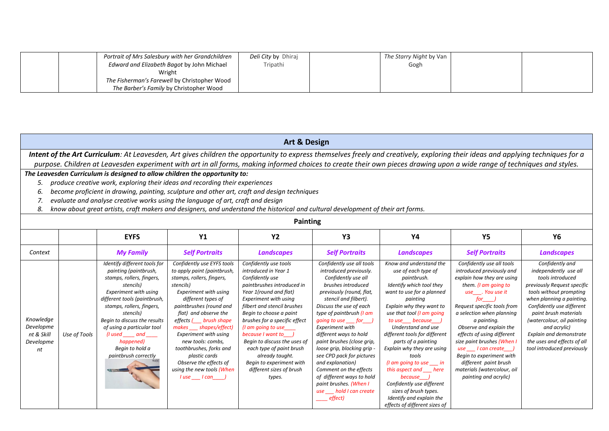| Portrait of Mrs Salesbury with her Grandchildren | Deli City by Dhiraj | The Starry Night by Van |  |
|--------------------------------------------------|---------------------|-------------------------|--|
| Edward and Elizabeth Bagot by John Michael       | Tripathi            | Gogh                    |  |
| Wright                                           |                     |                         |  |
| The Fisherman's Farewell by Christopher Wood     |                     |                         |  |
| The Barber's Family by Christopher Wood          |                     |                         |  |

|                                                                                                                                                                                                                                                                                                                                                                                                                                                                                                                                                                                                                                                                                                         | <b>Art &amp; Design</b>                                                                                                                                                         |                                                                                                                                                                                                                                                                                                                                                |                                                                                                                                                                                                                                                                                                                                                                                                                                                                     |                                                                                                                                                                                                                                                                                                                                                                                                                                            |                                                                                                                                                                                                                                                                                                                                                                                                                                                                                                                           |                                                                                                                                                                                                                                                                                                                                                                                                                                                                                                                       |                                                                                                                                                                                                                                                                                                                                                                                                                                                                                                                                                                                                                                                                            |                                                                                                                                                                                                                                                                                                                                                        |  |  |
|---------------------------------------------------------------------------------------------------------------------------------------------------------------------------------------------------------------------------------------------------------------------------------------------------------------------------------------------------------------------------------------------------------------------------------------------------------------------------------------------------------------------------------------------------------------------------------------------------------------------------------------------------------------------------------------------------------|---------------------------------------------------------------------------------------------------------------------------------------------------------------------------------|------------------------------------------------------------------------------------------------------------------------------------------------------------------------------------------------------------------------------------------------------------------------------------------------------------------------------------------------|---------------------------------------------------------------------------------------------------------------------------------------------------------------------------------------------------------------------------------------------------------------------------------------------------------------------------------------------------------------------------------------------------------------------------------------------------------------------|--------------------------------------------------------------------------------------------------------------------------------------------------------------------------------------------------------------------------------------------------------------------------------------------------------------------------------------------------------------------------------------------------------------------------------------------|---------------------------------------------------------------------------------------------------------------------------------------------------------------------------------------------------------------------------------------------------------------------------------------------------------------------------------------------------------------------------------------------------------------------------------------------------------------------------------------------------------------------------|-----------------------------------------------------------------------------------------------------------------------------------------------------------------------------------------------------------------------------------------------------------------------------------------------------------------------------------------------------------------------------------------------------------------------------------------------------------------------------------------------------------------------|----------------------------------------------------------------------------------------------------------------------------------------------------------------------------------------------------------------------------------------------------------------------------------------------------------------------------------------------------------------------------------------------------------------------------------------------------------------------------------------------------------------------------------------------------------------------------------------------------------------------------------------------------------------------------|--------------------------------------------------------------------------------------------------------------------------------------------------------------------------------------------------------------------------------------------------------------------------------------------------------------------------------------------------------|--|--|
|                                                                                                                                                                                                                                                                                                                                                                                                                                                                                                                                                                                                                                                                                                         | Intent of the Art Curriculum: At Leavesden, Art gives children the opportunity to express themselves freely and creatively, exploring their ideas and applying techniques for a |                                                                                                                                                                                                                                                                                                                                                |                                                                                                                                                                                                                                                                                                                                                                                                                                                                     |                                                                                                                                                                                                                                                                                                                                                                                                                                            |                                                                                                                                                                                                                                                                                                                                                                                                                                                                                                                           |                                                                                                                                                                                                                                                                                                                                                                                                                                                                                                                       |                                                                                                                                                                                                                                                                                                                                                                                                                                                                                                                                                                                                                                                                            |                                                                                                                                                                                                                                                                                                                                                        |  |  |
| purpose. Children at Leavesden experiment with art in all forms, making informed choices to create their own pieces drawing upon a wide range of techniques and styles.<br>The Leavesden Curriculum is designed to allow children the opportunity to:<br>produce creative work, exploring their ideas and recording their experiences<br>5.<br>become proficient in drawing, painting, sculpture and other art, craft and design techniques<br>6.<br>evaluate and analyse creative works using the language of art, craft and design<br>7.<br>know about great artists, craft makers and designers, and understand the historical and cultural development of their art forms.<br>8.<br><b>Painting</b> |                                                                                                                                                                                 |                                                                                                                                                                                                                                                                                                                                                |                                                                                                                                                                                                                                                                                                                                                                                                                                                                     |                                                                                                                                                                                                                                                                                                                                                                                                                                            |                                                                                                                                                                                                                                                                                                                                                                                                                                                                                                                           |                                                                                                                                                                                                                                                                                                                                                                                                                                                                                                                       |                                                                                                                                                                                                                                                                                                                                                                                                                                                                                                                                                                                                                                                                            |                                                                                                                                                                                                                                                                                                                                                        |  |  |
| <b>EYFS</b><br><b>Y1</b><br><b>Y2</b><br>Υ4<br><b>Y5</b><br>Υ6<br>Y3                                                                                                                                                                                                                                                                                                                                                                                                                                                                                                                                                                                                                                    |                                                                                                                                                                                 |                                                                                                                                                                                                                                                                                                                                                |                                                                                                                                                                                                                                                                                                                                                                                                                                                                     |                                                                                                                                                                                                                                                                                                                                                                                                                                            |                                                                                                                                                                                                                                                                                                                                                                                                                                                                                                                           |                                                                                                                                                                                                                                                                                                                                                                                                                                                                                                                       |                                                                                                                                                                                                                                                                                                                                                                                                                                                                                                                                                                                                                                                                            |                                                                                                                                                                                                                                                                                                                                                        |  |  |
| Context                                                                                                                                                                                                                                                                                                                                                                                                                                                                                                                                                                                                                                                                                                 |                                                                                                                                                                                 | <b>My Family</b>                                                                                                                                                                                                                                                                                                                               | <b>Self Portraits</b>                                                                                                                                                                                                                                                                                                                                                                                                                                               | <b>Landscapes</b>                                                                                                                                                                                                                                                                                                                                                                                                                          | <b>Self Portraits</b>                                                                                                                                                                                                                                                                                                                                                                                                                                                                                                     | <b>Landscapes</b>                                                                                                                                                                                                                                                                                                                                                                                                                                                                                                     | <b>Self Portraits</b>                                                                                                                                                                                                                                                                                                                                                                                                                                                                                                                                                                                                                                                      | <b>Landscapes</b>                                                                                                                                                                                                                                                                                                                                      |  |  |
| Knowledge<br>Developme<br>nt & Skill<br>Developme<br>nt                                                                                                                                                                                                                                                                                                                                                                                                                                                                                                                                                                                                                                                 | Use of Tools                                                                                                                                                                    | Identify different tools for<br>painting (paintbrush,<br>stamps, rollers, fingers,<br>stencils)<br><b>Experiment with using</b><br>different tools (paintbrush,<br>stamps, rollers, fingers,<br>stencils)<br>Begin to discuss the results<br>of using a particular tool<br>(I used and<br>happened)<br>Begin to hold a<br>paintbrush correctly | Confidently use EYFS tools<br>to apply paint (paintbrush,<br>stamps, rollers, fingers,<br>stencils)<br><b>Experiment with using</b><br>different types of<br>paintbrushes (round and<br>flat) and observe the<br>effects ( brush shape<br>makes ___ shapes/effect)<br><b>Experiment with using</b><br>new tools: combs.<br>toothbrushes, forks and<br>plastic cards<br>Observe the effects of<br>using the new tools (When<br>$l$ use $\qquad$ $l$ can $\qquad$ $)$ | Confidently use tools<br>introduced in Year 1<br>Confidently use<br>paintbrushes introduced in<br>Year 1(round and flat)<br>Experiment with using<br>filbert and stencil brushes<br>Begin to choose a paint<br>brushes for a specific effect<br>(I am going to use<br>because I want to )<br>Begin to discuss the uses of<br>each type of paint brush<br>already taught.<br>Begin to experiment with<br>different sizes of brush<br>types. | Confidently use all tools<br>introduced previously.<br>Confidently use all<br>brushes introduced<br>previously (round, flat,<br>stencil and filbert).<br>Discuss the use of each<br>type of paintbrush (I am<br>qoing to use for )<br><b>Experiment with</b><br>different ways to hold<br>paint brushes (close grip,<br>loose grip, blocking grip -<br>see CPD pack for pictures<br>and explanation)<br>Comment on the effects<br>of different ways to hold<br>paint brushes. (When I<br>use hold I can create<br>effect) | Know and understand the<br>use of each type of<br>paintbrush.<br>Identify which tool they<br>want to use for a planned<br>painting<br>Explain why they want to<br>use that tool (I am going<br>to use because )<br>Understand and use<br>different tools for different<br>parts of a painting<br>Explain why they are using<br>tools<br>(I am going to use in<br>this aspect and here<br>because )<br>Confidently use different<br>sizes of brush types.<br>Identify and explain the<br>effects of different sizes of | Confidently use all tools<br>introduced previously and<br>explain how they are using<br>them. (I am going to<br>use . You use it<br>for the set of the set of the set of the set of the set of the set of the set of the set of the set of the set<br>Set of the set of the set of the set of the set of the set of the set of the set of the set of the set of the<br>Request specific tools from<br>a selection when planning<br>a painting.<br>Observe and explain the<br>effects of using different<br>size paint brushes (When I<br>$use$   can create  <br>Begin to experiment with<br>different paint brush<br>materials (watercolour, oil<br>painting and acrylic) | Confidently and<br>independently use all<br>tools introduced<br>previously Request specific<br>tools without prompting<br>when planning a painting.<br>Confidently use different<br>paint brush materials<br>(watercolour, oil painting<br>and acrylic)<br><b>Explain and demonstrate</b><br>the uses and effects of all<br>tool introduced previously |  |  |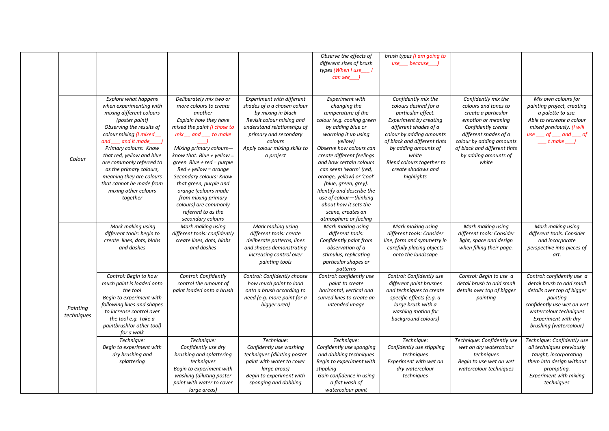|                        |                                                                                                                                                                                                                                                                                                                                                                                          |                                                                                                                                                                                                                                                                                                                                                                                                                                          |                                                                                                                                                                                                                                     | Observe the effects of<br>different sizes of brush<br>types (When I use_1<br>$can see$ )                                                                                                                                                                                                                                                                                                                                                         | brush types (I am going to<br>use___ because___,                                                                                                                                                                                                                                           |                                                                                                                                                                                                                                      |                                                                                                                                                                                                            |
|------------------------|------------------------------------------------------------------------------------------------------------------------------------------------------------------------------------------------------------------------------------------------------------------------------------------------------------------------------------------------------------------------------------------|------------------------------------------------------------------------------------------------------------------------------------------------------------------------------------------------------------------------------------------------------------------------------------------------------------------------------------------------------------------------------------------------------------------------------------------|-------------------------------------------------------------------------------------------------------------------------------------------------------------------------------------------------------------------------------------|--------------------------------------------------------------------------------------------------------------------------------------------------------------------------------------------------------------------------------------------------------------------------------------------------------------------------------------------------------------------------------------------------------------------------------------------------|--------------------------------------------------------------------------------------------------------------------------------------------------------------------------------------------------------------------------------------------------------------------------------------------|--------------------------------------------------------------------------------------------------------------------------------------------------------------------------------------------------------------------------------------|------------------------------------------------------------------------------------------------------------------------------------------------------------------------------------------------------------|
| Colour                 | <b>Explore what happens</b><br>when experimenting with<br>mixing different colours<br>(poster paint)<br>Observing the results of<br>colour mixing (I mixed<br>and and it made )<br>Primary colours: Know<br>that red, yellow and blue<br>are commonly referred to<br>as the primary colours,<br>meaning they are colours<br>that cannot be made from<br>mixing other colours<br>together | Deliberately mix two or<br>more colours to create<br>another<br>Explain how they have<br>mixed the paint (I chose to<br>$mix$ and $_$ to make<br>Mixing primary colours-<br>know that: Blue + yellow =<br>green $Blue + red = purple$<br>$Red + yellow = orange$<br>Secondary colours: Know<br>that green, purple and<br>orange (colours made<br>from mixing primary<br>colours) are commonly<br>referred to as the<br>secondary colours | <b>Experiment with different</b><br>shades of a a chosen colour<br>by mixing in black<br>Revisit colour mixing and<br>understand relationships of<br>primary and secondary<br>colours<br>Apply colour mixing skills to<br>a project | <b>Experiment with</b><br>changing the<br>temperature of the<br>colour (e.g. cooling green<br>by adding blue or<br>warming it up using<br>yellow)<br>Observe how colours can<br>create different feelings<br>and how certain colours<br>can seem 'warm' (red,<br>orange, yellow) or 'cool'<br>(blue, green, grey).<br>Identify and describe the<br>use of colour-thinking<br>about how it sets the<br>scene, creates an<br>atmosphere or feeling | Confidently mix the<br>colours desired for a<br>particular effect.<br><b>Experiment by creating</b><br>different shades of a<br>colour by adding amounts<br>of black and different tints<br>by adding amounts of<br>white<br>Blend colours together to<br>create shadows and<br>highlights | Confidently mix the<br>colours and tones to<br>create a particular<br>emotion or meaning<br>Confidently create<br>different shades of a<br>colour by adding amounts<br>of black and different tints<br>by adding amounts of<br>white | Mix own colours for<br>painting project, creating<br>a palette to use.<br>Able to recreate a colour<br>mixed previously. (I will<br>$use \_\_ of \_\_ and \_\_ of$<br>$\frac{1}{2}$ t make $\frac{1}{2}$   |
|                        | Mark making using<br>different tools: begin to<br>create lines, dots, blobs<br>and dashes                                                                                                                                                                                                                                                                                                | Mark making using<br>different tools: confidently<br>create lines, dots, blobs<br>and dashes                                                                                                                                                                                                                                                                                                                                             | Mark making using<br>different tools: create<br>deliberate patterns, lines<br>and shapes demonstrating<br>increasing control over<br>painting tools                                                                                 | Mark making using<br>different tools:<br>Confidently paint from<br>observation of a<br>stimulus, replicating<br>particular shapes or<br>patterns                                                                                                                                                                                                                                                                                                 | Mark making using<br>different tools: Consider<br>line, form and symmetry in<br>carefully placing objects<br>onto the landscape                                                                                                                                                            | Mark making using<br>different tools: Consider<br>light, space and design<br>when filling their page.                                                                                                                                | Mark making using<br>different tools: Consider<br>and incorporate<br>perspective into pieces of<br>art.                                                                                                    |
| Painting<br>techniques | Control: Begin to how<br>much paint is loaded onto<br>the tool<br>Begin to experiment with<br>following lines and shapes<br>to increase control over<br>the tool e.g. Take a<br>paintbrush(or other tool)<br>for a walk                                                                                                                                                                  | Control: Confidently<br>control the amount of<br>paint loaded onto a brush                                                                                                                                                                                                                                                                                                                                                               | Control: Confidently choose<br>how much paint to load<br>onto a brush according to<br>need (e.g. more paint for a<br>bigger area)                                                                                                   | Control: confidently use<br>paint to create<br>horizontal, vertical and<br>curved lines to create an<br>intended image                                                                                                                                                                                                                                                                                                                           | Control: Confidently use<br>different paint brushes<br>and techniques to create<br>specific effects (e.g. a<br>large brush with a<br>washing motion for<br>background colours)                                                                                                             | Control: Begin to use a<br>detail brush to add small<br>details over top of bigger<br>painting                                                                                                                                       | Control: confidently use a<br>detail brush to add small<br>details over top of bigger<br>painting<br>confidently use wet on wet<br>watercolour techniques<br>Experiment with dry<br>brushing (watercolour) |
|                        | Technique:<br>Begin to experiment with<br>dry brushing and<br>splattering                                                                                                                                                                                                                                                                                                                | Technique:<br>Confidently use dry<br>brushing and splattering<br>techniques<br>Begin to experiment with<br>washing (diluting poster<br>paint with water to cover<br>large areas)                                                                                                                                                                                                                                                         | Technique:<br>Confidently use washing<br>techniques (diluting poster<br>paint with water to cover<br>large areas)<br>Begin to experiment with<br>sponging and dabbing                                                               | Technique:<br>Confidently use sponging<br>and dabbing techniques<br>Begin to experiment with<br>stippling<br>Gain confidence in using<br>a flat wash of<br>watercolour paint                                                                                                                                                                                                                                                                     | Technique:<br>Confidently use stippling<br>techniques<br>Experiment with wet on<br>dry watercolour<br>techniques                                                                                                                                                                           | Technique: Confidently use<br>wet on dry watercolour<br>techniques<br>Begin to use wet on wet<br>watercolour techniques                                                                                                              | Technique: Confidently use<br>all techniques previously<br>taught, incorporating<br>them into design without<br>prompting.<br><b>Experiment with mixing</b><br>techniques                                  |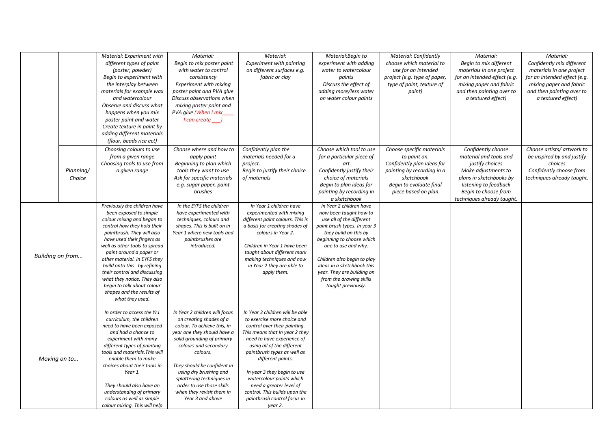|                  |                     | Material: Experiment with<br>different types of paint<br>(poster, powder)<br>Begin to experiment with<br>the interplay between<br>materials for example wax<br>and watercolour<br>Observe and discuss what<br>happens when you mix<br>poster paint and water<br>Create texture in paint by<br>adding different materials<br>(flour, beads rice ect)                                                                                                     | Material:<br>Begin to mix poster paint<br>with water to control<br>consistency<br><b>Experiment with mixing</b><br>poster paint and PVA glue<br>Discuss observations when<br>mixing poster paint and<br>PVA glue (When I mix<br>I can create ___                                                                                                              | Material:<br><b>Experiment with painting</b><br>on different surfaces e.g.<br>fabric or clay                                                                                                                                                                                                                                                                                                                      | Material: Begin to<br>experiment with adding<br>water to watercolour<br>paints<br>Discuss the effect of<br>adding more/less water<br>on water colour paints                                                                                                                                                                            | Material: Confidently<br>choose which material to<br>use for an intended<br>project (e.g. type of paper,<br>type of paint, texture of<br>paint)                       | Material:<br>Begin to mix different<br>materials in one project<br>for an intended effect (e.g.<br>mixing paper and fabric<br>and then painting over to<br>a textured effect)                    | Material:<br>Confidently mix different<br>materials in one project<br>for an intended effect (e.g.<br>mixing paper and fabric<br>and then painting over to<br>a textured effect) |
|------------------|---------------------|---------------------------------------------------------------------------------------------------------------------------------------------------------------------------------------------------------------------------------------------------------------------------------------------------------------------------------------------------------------------------------------------------------------------------------------------------------|---------------------------------------------------------------------------------------------------------------------------------------------------------------------------------------------------------------------------------------------------------------------------------------------------------------------------------------------------------------|-------------------------------------------------------------------------------------------------------------------------------------------------------------------------------------------------------------------------------------------------------------------------------------------------------------------------------------------------------------------------------------------------------------------|----------------------------------------------------------------------------------------------------------------------------------------------------------------------------------------------------------------------------------------------------------------------------------------------------------------------------------------|-----------------------------------------------------------------------------------------------------------------------------------------------------------------------|--------------------------------------------------------------------------------------------------------------------------------------------------------------------------------------------------|----------------------------------------------------------------------------------------------------------------------------------------------------------------------------------|
|                  | Planning/<br>Choice | Choosing colours to use<br>from a given range<br>Choosing tools to use from<br>a given range                                                                                                                                                                                                                                                                                                                                                            | Choose where and how to<br>apply paint<br>Beginning to plan which<br>tools they want to use<br>Ask for specific materials<br>e.g. sugar paper, paint<br>brushes                                                                                                                                                                                               | Confidently plan the<br>materials needed for a<br>project.<br>Begin to justify their choice<br>of materials                                                                                                                                                                                                                                                                                                       | Choose which tool to use<br>for a particular piece of<br>art<br>Confidently justify their<br>choice of materials<br>Begin to plan ideas for<br>painting by recording in<br>a sketchbook                                                                                                                                                | Choose specific materials<br>to paint on.<br>Confidently plan ideas for<br>painting by recording in a<br>sketchbook<br>Begin to evaluate final<br>piece based on plan | Confidently choose<br>material and tools and<br>justify choices<br>Make adjustments to<br>plans in sketchbooks by<br>listening to feedback<br>Begin to choose from<br>techniques already taught. | Choose artists/ artwork to<br>be inspired by and justify<br>choices<br>Confidently choose from<br>techniques already taught.                                                     |
| Building on from |                     | Previously the children have<br>been exposed to simple<br>colour mixing and began to<br>control how they hold their<br>paintbrush. They will also<br>have used their fingers as<br>well as other tools to spread<br>paint around a paper or<br>other material. In EYFS they<br>build onto this by refining<br>their control and discussing<br>what they notice. They also<br>begin to talk about colour<br>shapes and the results of<br>what they used. | In the EYFS the children<br>have experimented with<br>techniques, colours and<br>shapes. This is built on in<br>Year 1 where new tools and<br>paintbrushes are<br>introduced.                                                                                                                                                                                 | In Year 1 children have<br>experimented with mixing<br>different paint colours. This is<br>a basis for creating shades of<br>colours in Year 2.<br>Children in Year 1 have been<br>taught about different mark<br>making techniques and now<br>in Year 2 they are able to<br>apply them.                                                                                                                          | In Year 2 children have<br>now been taught how to<br>use all of the different<br>paint brush types. In year 3<br>they build on this by<br>beginning to choose which<br>one to use and why.<br>Children also begin to play<br>ideas in a sketchbook this<br>year. They are building on<br>from the drawing skills<br>taught previously. |                                                                                                                                                                       |                                                                                                                                                                                                  |                                                                                                                                                                                  |
|                  | Moving on to        | In order to access the Yr1<br>curriculum, the children<br>need to have been exposed<br>and had a chance to<br>experiment with many<br>different types of painting<br>tools and materials. This will<br>enable them to make<br>choices about their tools in<br>Year 1.<br>They should also have an<br>understanding of primary<br>colours as well as simple<br>colour mixing. This will help                                                             | In Year 2 children will focus<br>on creating shades of a<br>colour. To achieve this, in<br>year one they should have a<br>solid grounding of primary<br>colours and secondary<br>colours.<br>They should be confident in<br>using dry brushing and<br>splattering techniques in<br>order to use those skills<br>when they revisit them in<br>Year 3 and above | In Year 3 children will be able<br>to exercise more choice and<br>control over their painting.<br>This means that In year 2 they<br>need to have experience of<br>using all of the different<br>paintbrush types as well as<br>different paints.<br>In year 3 they begin to use<br>watercolour paints which<br>need a greater level of<br>control. This builds upon the<br>paintbrush control focus in<br>year 2. |                                                                                                                                                                                                                                                                                                                                        |                                                                                                                                                                       |                                                                                                                                                                                                  |                                                                                                                                                                                  |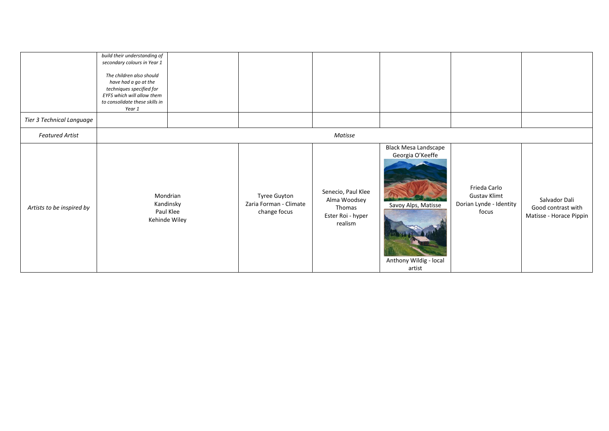|                           | build their understanding of<br>secondary colours in Year 1<br>The children also should<br>have had a go at the<br>techniques specified for<br>EYFS which will allow them<br>to consolidate these skills in<br>Year 1 |                                                     |                                                        |                                                                              |                                                                                                            |                                                                         |                                                                |
|---------------------------|-----------------------------------------------------------------------------------------------------------------------------------------------------------------------------------------------------------------------|-----------------------------------------------------|--------------------------------------------------------|------------------------------------------------------------------------------|------------------------------------------------------------------------------------------------------------|-------------------------------------------------------------------------|----------------------------------------------------------------|
| Tier 3 Technical Language |                                                                                                                                                                                                                       |                                                     |                                                        |                                                                              |                                                                                                            |                                                                         |                                                                |
| <b>Featured Artist</b>    |                                                                                                                                                                                                                       |                                                     |                                                        | Matisse                                                                      |                                                                                                            |                                                                         |                                                                |
| Artists to be inspired by |                                                                                                                                                                                                                       | Mondrian<br>Kandinsky<br>Paul Klee<br>Kehinde Wiley | Tyree Guyton<br>Zaria Forman - Climate<br>change focus | Senecio, Paul Klee<br>Alma Woodsey<br>Thomas<br>Ester Roi - hyper<br>realism | <b>Black Mesa Landscape</b><br>Georgia O'Keeffe<br>Savoy Alps, Matisse<br>Anthony Wildig - local<br>artist | Frieda Carlo<br><b>Gustav Klimt</b><br>Dorian Lynde - Identity<br>focus | Salvador Dali<br>Good contrast with<br>Matisse - Horace Pippin |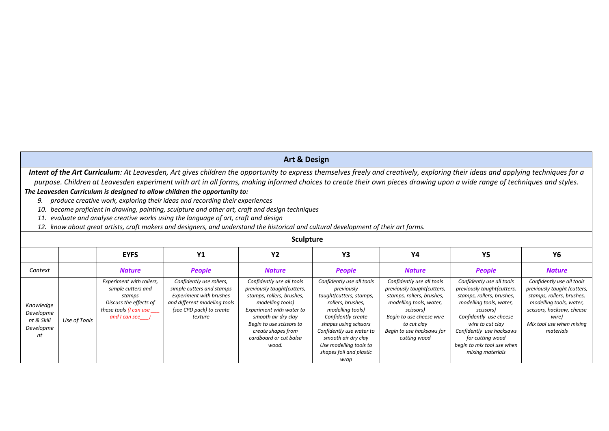## **Art & Design**

*Intent of the Art Curriculum: At Leavesden, Art gives children the opportunity to express themselves freely and creatively, exploring their ideas and applying techniques for a*  purpose. Children at Leavesden experiment with art in all forms, making informed choices to create their own pieces drawing upon a wide range of techniques and styles.

## *The Leavesden Curriculum is designed to allow children the opportunity to:*

*9. produce creative work, exploring their ideas and recording their experiences*

*10. become proficient in drawing, painting, sculpture and other art, craft and design techniques*

*11. evaluate and analyse creative works using the language of art, craft and design*

*12. know about great artists, craft makers and designers, and understand the historical and cultural development of their art forms.*

|                                                         | <b>Sculpture</b> |                                                                                                                                 |                                                                                                                                                                |                                                                                                                                                                                                                                                  |                                                                                                                                                                                                                                                                            |                                                                                                                                                                                                                      |                                                                                                                                                                                                                                                                              |                                                                                                                                                                                                 |  |  |  |
|---------------------------------------------------------|------------------|---------------------------------------------------------------------------------------------------------------------------------|----------------------------------------------------------------------------------------------------------------------------------------------------------------|--------------------------------------------------------------------------------------------------------------------------------------------------------------------------------------------------------------------------------------------------|----------------------------------------------------------------------------------------------------------------------------------------------------------------------------------------------------------------------------------------------------------------------------|----------------------------------------------------------------------------------------------------------------------------------------------------------------------------------------------------------------------|------------------------------------------------------------------------------------------------------------------------------------------------------------------------------------------------------------------------------------------------------------------------------|-------------------------------------------------------------------------------------------------------------------------------------------------------------------------------------------------|--|--|--|
|                                                         |                  | <b>EYFS</b>                                                                                                                     | <b>Y1</b>                                                                                                                                                      | <b>Y2</b>                                                                                                                                                                                                                                        | Y3                                                                                                                                                                                                                                                                         | Y4                                                                                                                                                                                                                   | Y5                                                                                                                                                                                                                                                                           | Υ6                                                                                                                                                                                              |  |  |  |
| Context                                                 |                  | <b>Nature</b>                                                                                                                   | <b>People</b>                                                                                                                                                  | <b>Nature</b>                                                                                                                                                                                                                                    | <b>People</b>                                                                                                                                                                                                                                                              | <b>Nature</b>                                                                                                                                                                                                        | <b>People</b>                                                                                                                                                                                                                                                                | <b>Nature</b>                                                                                                                                                                                   |  |  |  |
| Knowledge<br>Developme<br>nt & Skill<br>Developme<br>nt | Use of Tools     | Experiment with rollers,<br>simple cutters and<br>stamps<br>Discuss the effects of<br>these tools (I can use<br>and I can see J | Confidently use rollers,<br>simple cutters and stamps<br><b>Experiment with brushes</b><br>and different modeling tools<br>(see CPD pack) to create<br>texture | Confidently use all tools<br>previously taught(cutters,<br>stamps, rollers, brushes,<br>modelling tools)<br>Experiment with water to<br>smooth air dry clay<br>Begin to use scissors to<br>create shapes from<br>cardboard or cut balsa<br>wood. | Confidently use all tools<br>previously<br>taught(cutters, stamps,<br>rollers, brushes,<br>modelling tools)<br>Confidently create<br>shapes using scissors<br>Confidently use water to<br>smooth air dry clay<br>Use modelling tools to<br>shapes foil and plastic<br>wrap | Confidently use all tools<br>previously taught(cutters,<br>stamps, rollers, brushes,<br>modelling tools, water,<br>scissors)<br>Begin to use cheese wire<br>to cut clay<br>Begin to use hacksaws for<br>cutting wood | Confidently use all tools<br>previously taught(cutters,<br>stamps, rollers, brushes,<br>modelling tools, water,<br>scissors)<br>Confidently use cheese<br>wire to cut clay<br>Confidently use hacksaws<br>for cutting wood<br>begin to mix tool use when<br>mixing materials | Confidently use all tools<br>previously taught (cutters,<br>stamps, rollers, brushes,<br>modelling tools, water,<br>scissors, hacksaw, cheese<br>wire)<br>Mix tool use when mixing<br>materials |  |  |  |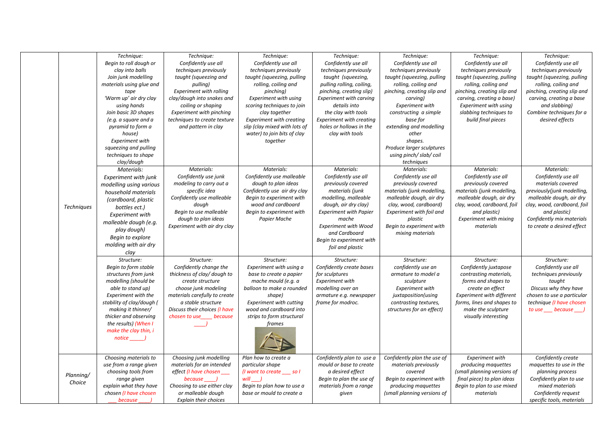|                     | Technique:<br>Begin to roll dough or<br>clay into balls<br>Join junk modelling<br>materials using glue and<br>tape<br>'Warm up' air dry clay<br>using hands<br>Join basic 3D shapes<br>(e.g. a square and a<br>pyramid to form a<br>house)                                          | Technique:<br>Confidently use all<br>techniques previously<br>taught (squeezing and<br>pulling)<br>Experiment with rolling<br>clay/dough into snakes and<br>coiling or shaping<br><b>Experiment with pinching</b><br>techniques to create texture<br>and pattern in clay | Technique:<br>Confidently use all<br>techniques previously<br>taught (squeezing, pulling<br>rolling, coiling and<br>pinching)<br><b>Experiment with using</b><br>scoring techniques to join<br>clay together<br><b>Experiment with creating</b><br>slip (clay mixed with lots of<br>water) to join bits of clay | Technique:<br>Confidently use all<br>techniques previously<br>taught (squeezing,<br>pulling rolling, coiling,<br>pinching, creating slip)<br><b>Experiment with carving</b><br>details into<br>the clay with tools<br><b>Experiment with creating</b><br>holes or hollows in the<br>clay with tools | Technique:<br>Confidently use all<br>techniques previously<br>taught (squeezing, pulling<br>rolling, coiling and<br>pinching, creating slip and<br>carving)<br><b>Experiment with</b><br>constructing a simple<br>base for<br>extending and modelling<br>other | Technique:<br>Confidently use all<br>techniques previously<br>taught (squeezing, pulling<br>rolling, coiling and<br>pinching, creating slip and<br>carving, creating a base)<br><b>Experiment with using</b><br>slabbing techniques to<br>build final pieces | Technique:<br>Confidently use all<br>techniques previously<br>taught (squeezing, pulling<br>rolling, coiling and<br>pinching, creating slip and<br>carving, creating a base<br>and slabbing)<br>Combine techniques for a<br>desired effects |
|---------------------|-------------------------------------------------------------------------------------------------------------------------------------------------------------------------------------------------------------------------------------------------------------------------------------|--------------------------------------------------------------------------------------------------------------------------------------------------------------------------------------------------------------------------------------------------------------------------|-----------------------------------------------------------------------------------------------------------------------------------------------------------------------------------------------------------------------------------------------------------------------------------------------------------------|-----------------------------------------------------------------------------------------------------------------------------------------------------------------------------------------------------------------------------------------------------------------------------------------------------|----------------------------------------------------------------------------------------------------------------------------------------------------------------------------------------------------------------------------------------------------------------|--------------------------------------------------------------------------------------------------------------------------------------------------------------------------------------------------------------------------------------------------------------|---------------------------------------------------------------------------------------------------------------------------------------------------------------------------------------------------------------------------------------------|
|                     | <b>Experiment with</b><br>squeezing and pulling<br>techniques to shape<br>clay/dough                                                                                                                                                                                                |                                                                                                                                                                                                                                                                          | together                                                                                                                                                                                                                                                                                                        |                                                                                                                                                                                                                                                                                                     | shapes.<br>Produce larger sculptures<br>using pinch/slab/coil<br>techniques                                                                                                                                                                                    |                                                                                                                                                                                                                                                              |                                                                                                                                                                                                                                             |
| <b>Techniques</b>   | Materials:<br>Experiment with junk<br>modelling using various<br>household materials<br>(cardboard, plastic<br>bottles ect.)<br>Experiment with<br>malleable dough (e.g.<br>play dough)<br>Begin to explore<br>molding with air dry<br>clay                                         | Materials:<br>Confidently use junk<br>modeling to carry out a<br>specific idea<br>Confidently use malleable<br>dough<br>Begin to use malleable<br>dough to plan ideas<br>Experiment with air dry clay                                                                    | Materials:<br>Confidently use malleable<br>dough to plan ideas<br>Confidently use air dry clay<br>Begin to experiment with<br>wood and cardboard<br>Begin to experiment with<br>Papier Mache                                                                                                                    | Materials:<br>Confidently use all<br>previously covered<br>materials (junk<br>modelling, malleable<br>dough, air dry clay)<br><b>Experiment with Papier</b><br>mache<br><b>Experiment with Wood</b><br>and Cardboard<br>Begin to experiment with<br>foil and plastic                                | Materials:<br>Confidently use all<br>previously covered<br>materials (junk modelling,<br>malleable dough, air dry<br>clay, wood, cardboard)<br>Experiment with foil and<br>plastic<br>Begin to experiment with<br>mixing materials                             | Materials:<br>Confidently use all<br>previously covered<br>materials (junk modelling,<br>malleable dough, air dry<br>clay, wood, cardboard, foil<br>and plastic)<br><b>Experiment with mixing</b><br>materials                                               | Materials:<br>Confidently use all<br>materials covered<br>previously(junk modelling,<br>malleable dough, air dry<br>clay, wood, cardboard, foil<br>and plastic)<br>Confidently mix materials<br>to create a desired effect                  |
|                     | Structure:<br>Begin to form stable<br>structures from junk<br>modelling (should be<br>able to stand up)<br><b>Experiment with the</b><br>stability of clay/dough (<br>making it thinner/<br>thicker and observing<br>the results) (When I<br>make the clay thin, i<br><i>notice</i> | Structure:<br>Confidently change the<br>thickness of clay/ dough to<br>create structure<br>choose junk modeling<br>materials carefully to create<br>a stable structure<br>Discuss their choices (I have<br>chosen to use because                                         | Structure:<br>Experiment with using a<br>base to create a papier<br>mache mould (e.g. a<br>balloon to make a rounded<br>shape)<br><b>Experiment with cutting</b><br>wood and cardboard into<br>strips to form structural<br>frames                                                                              | Structure:<br>Confidently create bases<br>for sculptures<br><b>Experiment with</b><br>modelling over an<br>armature e.g. newspaper<br>frame for modroc.                                                                                                                                             | Structure:<br>confidently use an<br>armature to model a<br>sculpture<br>Experiment with<br>juxtaposition(using<br>contrasting textures,<br>structures for an effect)                                                                                           | Structure:<br>Confidently juxtapose<br>contrasting materials,<br>forms and shapes to<br>create an effect<br><b>Experiment with different</b><br>forms, lines and shapes to<br>make the sculpture<br>visually interesting                                     | Structure:<br>Confidently use all<br>techniques previously<br>taught<br>Discuss why they have<br>chosen to use a particular<br>technique (I have chosen<br>to use because )                                                                 |
| Planning/<br>Choice | Choosing materials to<br>use from a range given<br>choosing tools from<br>range given<br>explain what they have<br>chosen (I have chosen<br>because                                                                                                                                 | Choosing junk modelling<br>materials for an intended<br>effect (I have chosen<br>because<br>Choosing to use either clay<br>or malleable dough<br><b>Explain their choices</b>                                                                                            | Plan how to create a<br>particular shape<br>(I want to create ____ so I<br>will )<br>Begin to plan how to use a<br>base or mould to create a                                                                                                                                                                    | Confidently plan to use a<br>mould or base to create<br>a desired effect<br>Begin to plan the use of<br>materials from a range<br>given                                                                                                                                                             | Confidently plan the use of<br>materials previously<br>covered<br>Begin to experiment with<br>producing maquettes<br>(small planning versions of                                                                                                               | Experiment with<br>producing maquettes<br>(small planning versions of<br>final piece) to plan ideas<br>Begin to plan to use mixed<br>materials                                                                                                               | Confidently create<br>maquettes to use in the<br>planning process<br>Confidently plan to use<br>mixed materials<br>Confidently request<br>specific tools, materials                                                                         |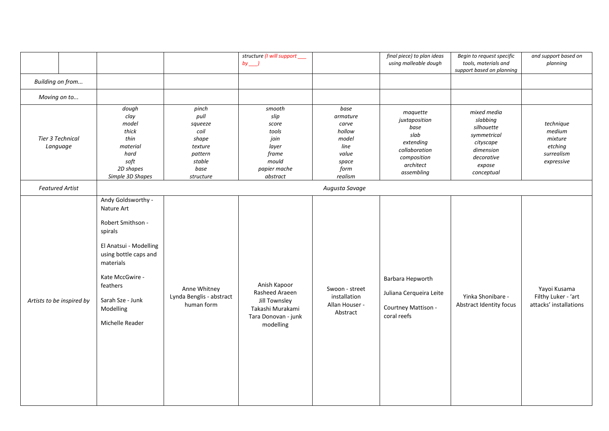|                              |                                                                                                                                                                                                                     |                                                                                                | structure (I will support<br>$by$ )                                                                     |                                                                                           | final piece) to plan ideas<br>using malleable dough                                                               | Begin to request specific<br>tools, materials and<br>support based on planning                                       | and support based on<br>planning                                      |
|------------------------------|---------------------------------------------------------------------------------------------------------------------------------------------------------------------------------------------------------------------|------------------------------------------------------------------------------------------------|---------------------------------------------------------------------------------------------------------|-------------------------------------------------------------------------------------------|-------------------------------------------------------------------------------------------------------------------|----------------------------------------------------------------------------------------------------------------------|-----------------------------------------------------------------------|
| Building on from             |                                                                                                                                                                                                                     |                                                                                                |                                                                                                         |                                                                                           |                                                                                                                   |                                                                                                                      |                                                                       |
| Moving on to                 |                                                                                                                                                                                                                     |                                                                                                |                                                                                                         |                                                                                           |                                                                                                                   |                                                                                                                      |                                                                       |
| Tier 3 Technical<br>Language | dough<br>clay<br>model<br>thick<br>thin<br>material<br>hard<br>soft<br>2D shapes<br>Simple 3D Shapes                                                                                                                | pinch<br>pull<br>squeeze<br>coil<br>shape<br>texture<br>pattern<br>stable<br>base<br>structure | smooth<br>slip<br>score<br>tools<br>join<br>layer<br>frame<br>mould<br>papier mache<br>abstract         | base<br>armature<br>carve<br>hollow<br>model<br>line<br>value<br>space<br>form<br>realism | maquette<br>juxtaposition<br>base<br>slab<br>extending<br>collaboration<br>composition<br>architect<br>assembling | mixed media<br>slabbing<br>silhouette<br>symmetrical<br>cityscape<br>dimension<br>decorative<br>expose<br>conceptual | technique<br>medium<br>mixture<br>etching<br>surrealism<br>expressive |
| <b>Featured Artist</b>       |                                                                                                                                                                                                                     |                                                                                                |                                                                                                         | Augusta Savage                                                                            |                                                                                                                   |                                                                                                                      |                                                                       |
| Artists to be inspired by    | Andy Goldsworthy -<br>Nature Art<br>Robert Smithson -<br>spirals<br>El Anatsui - Modelling<br>using bottle caps and<br>materials<br>Kate MccGwire -<br>feathers<br>Sarah Sze - Junk<br>Modelling<br>Michelle Reader | Anne Whitney<br>Lynda Benglis - abstract<br>human form                                         | Anish Kapoor<br>Rasheed Araeen<br>Jill Townsley<br>Takashi Murakami<br>Tara Donovan - junk<br>modelling | Swoon - street<br>installation<br>Allan Houser -<br>Abstract                              | Barbara Hepworth<br>Juliana Cerqueira Leite<br>Courtney Mattison -<br>coral reefs                                 | Yinka Shonibare -<br>Abstract Identity focus                                                                         | Yayoi Kusama<br>Filthy Luker - 'art<br>attacks' installations         |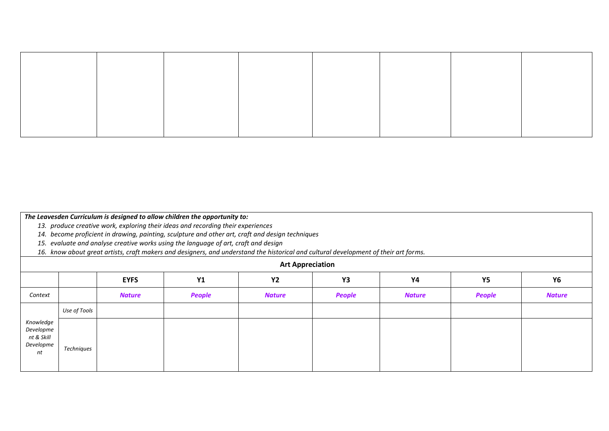|  |  | The Leavesden Curriculum is designed to allow children the opportunity to: |
|--|--|----------------------------------------------------------------------------|
|--|--|----------------------------------------------------------------------------|

*13. produce creative work, exploring their ideas and recording their experiences*

*14. become proficient in drawing, painting, sculpture and other art, craft and design techniques*

*15. evaluate and analyse creative works using the language of art, craft and design*

*16. know about great artists, craft makers and designers, and understand the historical and cultural development of their art forms.*

| <b>Art Appreciation</b>                                 |              |               |               |               |               |               |        |               |
|---------------------------------------------------------|--------------|---------------|---------------|---------------|---------------|---------------|--------|---------------|
|                                                         |              | <b>EYFS</b>   | <b>Y1</b>     | <b>Y2</b>     | Y3            | <b>Y4</b>     | Y5     | <b>Y6</b>     |
| Context                                                 |              | <b>Nature</b> | <b>People</b> | <b>Nature</b> | <b>People</b> | <b>Nature</b> | People | <b>Nature</b> |
| Knowledge<br>Developme<br>nt & Skill<br>Developme<br>nt | Use of Tools |               |               |               |               |               |        |               |
|                                                         | Techniques   |               |               |               |               |               |        |               |